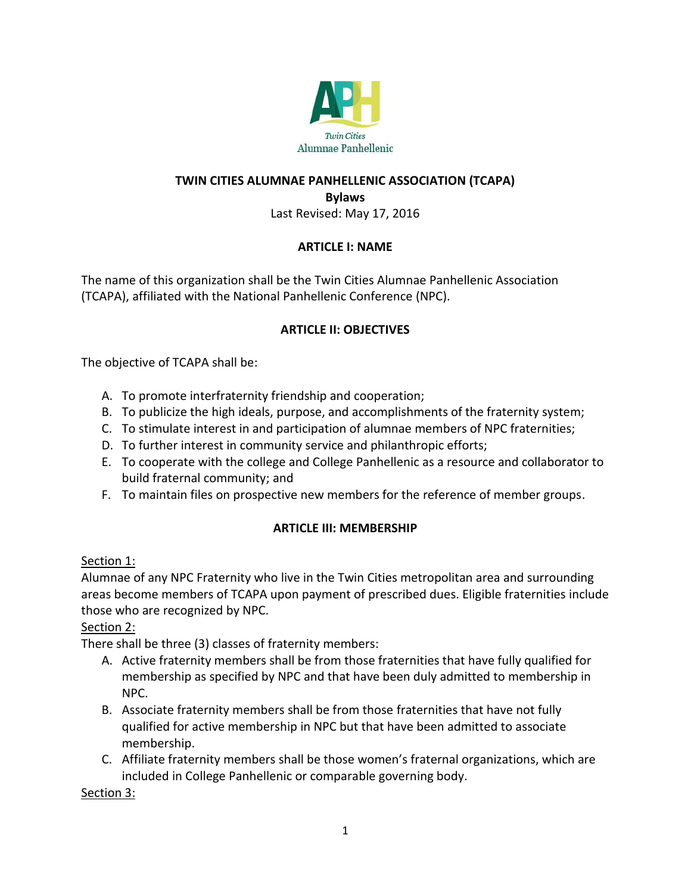

#### **TWIN CITIES ALUMNAE PANHELLENIC ASSOCIATION (TCAPA)**

**Bylaws**

Last Revised: May 17, 2016

#### **ARTICLE I: NAME**

The name of this organization shall be the Twin Cities Alumnae Panhellenic Association (TCAPA), affiliated with the National Panhellenic Conference (NPC).

#### **ARTICLE II: OBJECTIVES**

The objective of TCAPA shall be:

- A. To promote interfraternity friendship and cooperation;
- B. To publicize the high ideals, purpose, and accomplishments of the fraternity system;
- C. To stimulate interest in and participation of alumnae members of NPC fraternities;
- D. To further interest in community service and philanthropic efforts;
- E. To cooperate with the college and College Panhellenic as a resource and collaborator to build fraternal community; and
- F. To maintain files on prospective new members for the reference of member groups.

#### **ARTICLE III: MEMBERSHIP**

#### Section 1:

Alumnae of any NPC Fraternity who live in the Twin Cities metropolitan area and surrounding areas become members of TCAPA upon payment of prescribed dues. Eligible fraternities include those who are recognized by NPC.

#### Section 2:

There shall be three (3) classes of fraternity members:

- A. Active fraternity members shall be from those fraternities that have fully qualified for membership as specified by NPC and that have been duly admitted to membership in NPC.
- B. Associate fraternity members shall be from those fraternities that have not fully qualified for active membership in NPC but that have been admitted to associate membership.
- C. Affiliate fraternity members shall be those women's fraternal organizations, which are included in College Panhellenic or comparable governing body.

Section 3: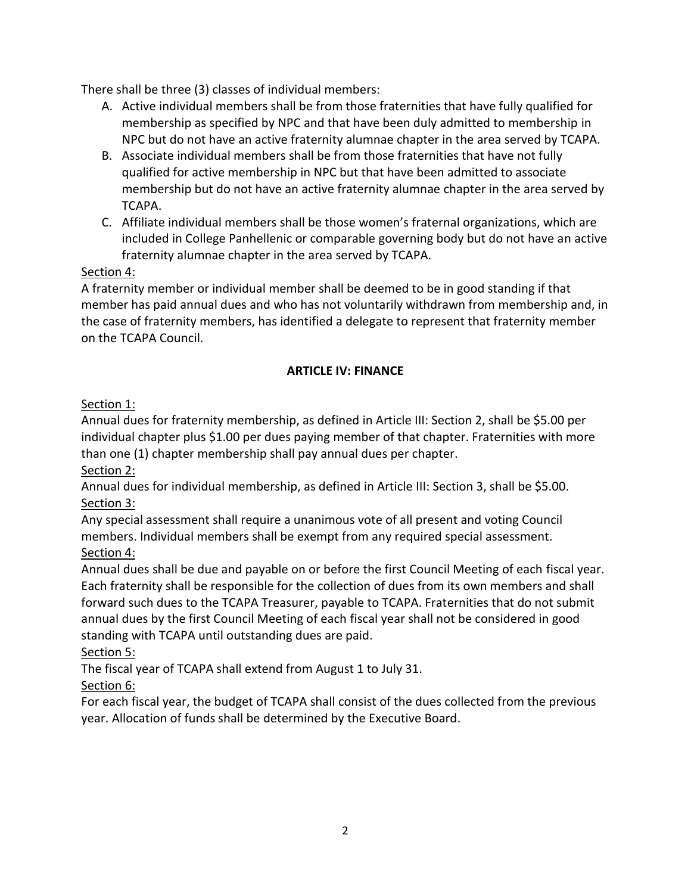There shall be three (3) classes of individual members:

- A. Active individual members shall be from those fraternities that have fully qualified for membership as specified by NPC and that have been duly admitted to membership in NPC but do not have an active fraternity alumnae chapter in the area served by TCAPA.
- B. Associate individual members shall be from those fraternities that have not fully qualified for active membership in NPC but that have been admitted to associate membership but do not have an active fraternity alumnae chapter in the area served by TCAPA.
- C. Affiliate individual members shall be those women's fraternal organizations, which are included in College Panhellenic or comparable governing body but do not have an active fraternity alumnae chapter in the area served by TCAPA.

### Section 4:

A fraternity member or individual member shall be deemed to be in good standing if that member has paid annual dues and who has not voluntarily withdrawn from membership and, in the case of fraternity members, has identified a delegate to represent that fraternity member on the TCAPA Council.

### **ARTICLE IV: FINANCE**

### Section 1:

Annual dues for fraternity membership, as defined in Article III: Section 2, shall be \$5.00 per individual chapter plus \$1.00 per dues paying member of that chapter. Fraternities with more than one (1) chapter membership shall pay annual dues per chapter.

Section 2:

Annual dues for individual membership, as defined in Article III: Section 3, shall be \$5.00. Section 3:

Any special assessment shall require a unanimous vote of all present and voting Council members. Individual members shall be exempt from any required special assessment. Section 4:

Annual dues shall be due and payable on or before the first Council Meeting of each fiscal year. Each fraternity shall be responsible for the collection of dues from its own members and shall forward such dues to the TCAPA Treasurer, payable to TCAPA. Fraternities that do not submit annual dues by the first Council Meeting of each fiscal year shall not be considered in good standing with TCAPA until outstanding dues are paid.

### Section 5:

The fiscal year of TCAPA shall extend from August 1 to July 31.

# Section 6:

For each fiscal year, the budget of TCAPA shall consist of the dues collected from the previous year. Allocation of funds shall be determined by the Executive Board.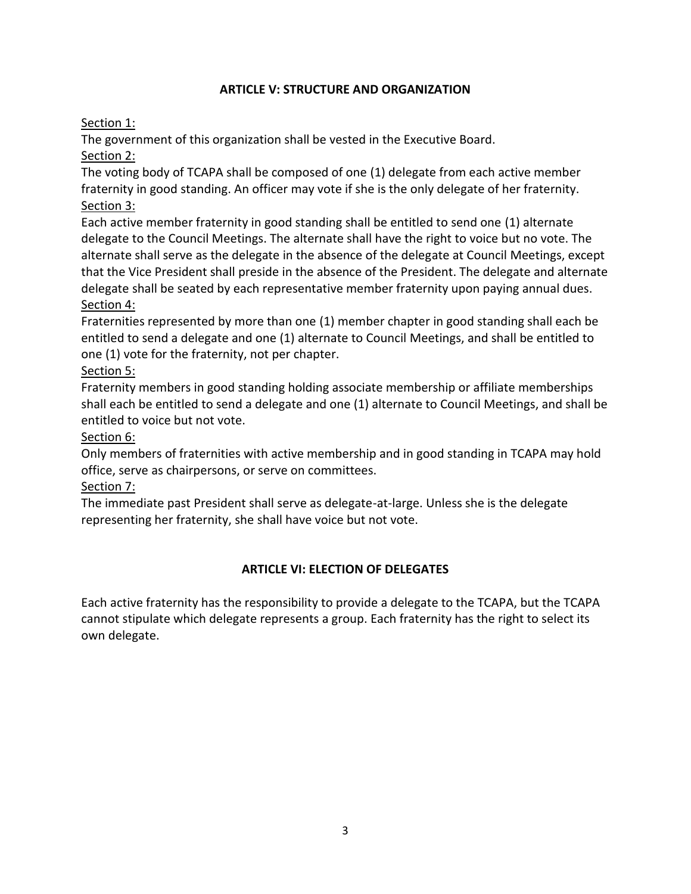### **ARTICLE V: STRUCTURE AND ORGANIZATION**

### Section 1:

The government of this organization shall be vested in the Executive Board.

Section 2:

The voting body of TCAPA shall be composed of one (1) delegate from each active member fraternity in good standing. An officer may vote if she is the only delegate of her fraternity. Section 3:

Each active member fraternity in good standing shall be entitled to send one (1) alternate delegate to the Council Meetings. The alternate shall have the right to voice but no vote. The alternate shall serve as the delegate in the absence of the delegate at Council Meetings, except that the Vice President shall preside in the absence of the President. The delegate and alternate delegate shall be seated by each representative member fraternity upon paying annual dues. Section 4:

Fraternities represented by more than one (1) member chapter in good standing shall each be entitled to send a delegate and one (1) alternate to Council Meetings, and shall be entitled to one (1) vote for the fraternity, not per chapter.

# Section 5:

Fraternity members in good standing holding associate membership or affiliate memberships shall each be entitled to send a delegate and one (1) alternate to Council Meetings, and shall be entitled to voice but not vote.

### Section 6:

Only members of fraternities with active membership and in good standing in TCAPA may hold office, serve as chairpersons, or serve on committees.

### Section 7:

The immediate past President shall serve as delegate-at-large. Unless she is the delegate representing her fraternity, she shall have voice but not vote.

### **ARTICLE VI: ELECTION OF DELEGATES**

Each active fraternity has the responsibility to provide a delegate to the TCAPA, but the TCAPA cannot stipulate which delegate represents a group. Each fraternity has the right to select its own delegate.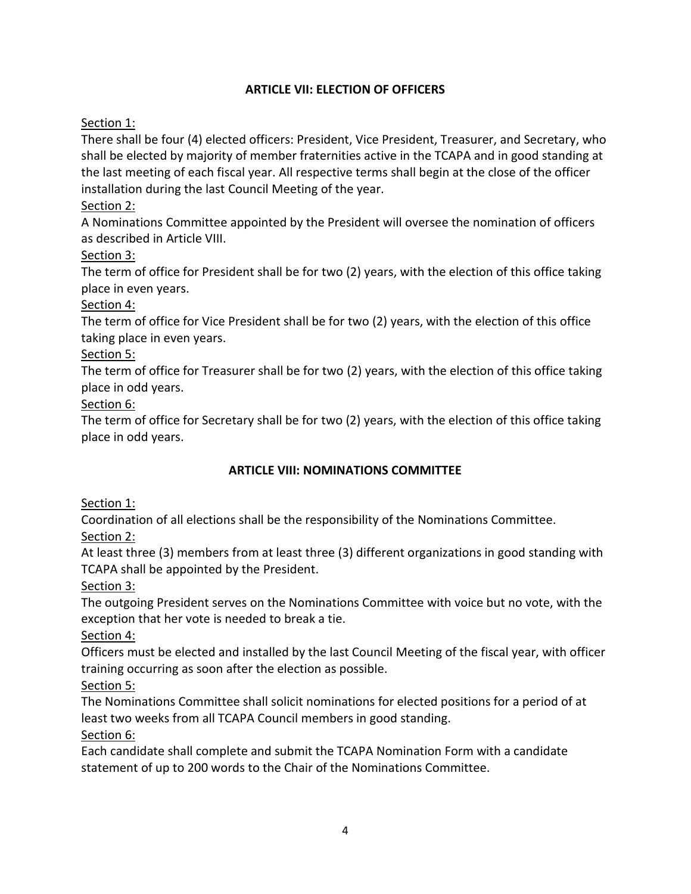### **ARTICLE VII: ELECTION OF OFFICERS**

### Section 1:

There shall be four (4) elected officers: President, Vice President, Treasurer, and Secretary, who shall be elected by majority of member fraternities active in the TCAPA and in good standing at the last meeting of each fiscal year. All respective terms shall begin at the close of the officer installation during the last Council Meeting of the year.

### Section 2:

A Nominations Committee appointed by the President will oversee the nomination of officers as described in Article VIII.

### Section 3:

The term of office for President shall be for two (2) years, with the election of this office taking place in even years.

### Section 4:

The term of office for Vice President shall be for two (2) years, with the election of this office taking place in even years.

### Section 5:

The term of office for Treasurer shall be for two (2) years, with the election of this office taking place in odd years.

### Section 6:

The term of office for Secretary shall be for two (2) years, with the election of this office taking place in odd years.

### **ARTICLE VIII: NOMINATIONS COMMITTEE**

### Section 1:

Coordination of all elections shall be the responsibility of the Nominations Committee. Section 2:

At least three (3) members from at least three (3) different organizations in good standing with TCAPA shall be appointed by the President.

### Section 3:

The outgoing President serves on the Nominations Committee with voice but no vote, with the exception that her vote is needed to break a tie.

### Section 4:

Officers must be elected and installed by the last Council Meeting of the fiscal year, with officer training occurring as soon after the election as possible.

### Section 5:

The Nominations Committee shall solicit nominations for elected positions for a period of at least two weeks from all TCAPA Council members in good standing.

### Section 6:

Each candidate shall complete and submit the TCAPA Nomination Form with a candidate statement of up to 200 words to the Chair of the Nominations Committee.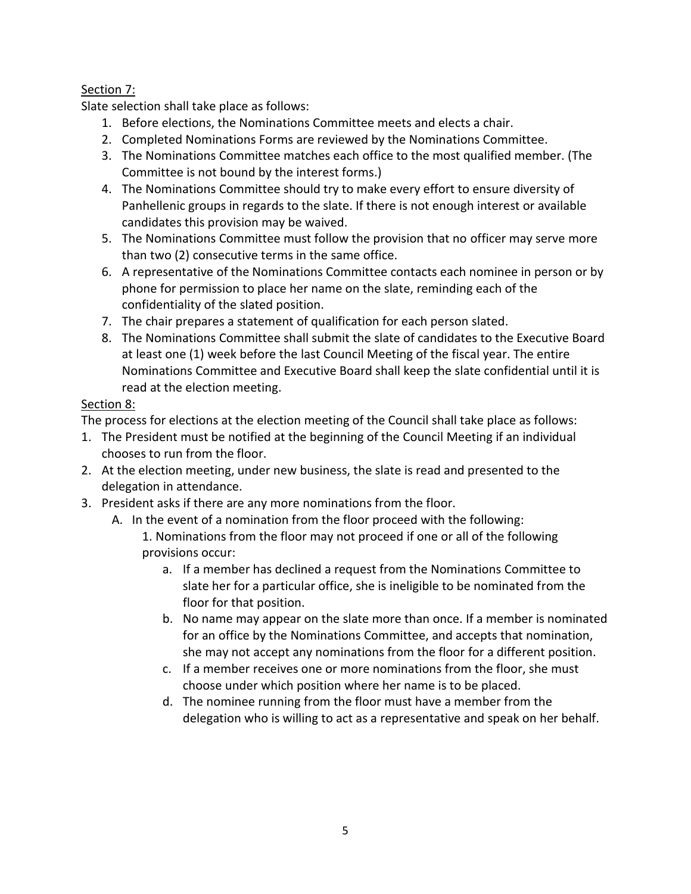### Section 7:

Slate selection shall take place as follows:

- 1. Before elections, the Nominations Committee meets and elects a chair.
- 2. Completed Nominations Forms are reviewed by the Nominations Committee.
- 3. The Nominations Committee matches each office to the most qualified member. (The Committee is not bound by the interest forms.)
- 4. The Nominations Committee should try to make every effort to ensure diversity of Panhellenic groups in regards to the slate. If there is not enough interest or available candidates this provision may be waived.
- 5. The Nominations Committee must follow the provision that no officer may serve more than two (2) consecutive terms in the same office.
- 6. A representative of the Nominations Committee contacts each nominee in person or by phone for permission to place her name on the slate, reminding each of the confidentiality of the slated position.
- 7. The chair prepares a statement of qualification for each person slated.
- 8. The Nominations Committee shall submit the slate of candidates to the Executive Board at least one (1) week before the last Council Meeting of the fiscal year. The entire Nominations Committee and Executive Board shall keep the slate confidential until it is read at the election meeting.

### Section 8:

The process for elections at the election meeting of the Council shall take place as follows:

- 1. The President must be notified at the beginning of the Council Meeting if an individual chooses to run from the floor.
- 2. At the election meeting, under new business, the slate is read and presented to the delegation in attendance.
- 3. President asks if there are any more nominations from the floor.
	- A. In the event of a nomination from the floor proceed with the following: 1. Nominations from the floor may not proceed if one or all of the following provisions occur:
		- a. If a member has declined a request from the Nominations Committee to slate her for a particular office, she is ineligible to be nominated from the floor for that position.
		- b. No name may appear on the slate more than once. If a member is nominated for an office by the Nominations Committee, and accepts that nomination, she may not accept any nominations from the floor for a different position.
		- c. If a member receives one or more nominations from the floor, she must choose under which position where her name is to be placed.
		- d. The nominee running from the floor must have a member from the delegation who is willing to act as a representative and speak on her behalf.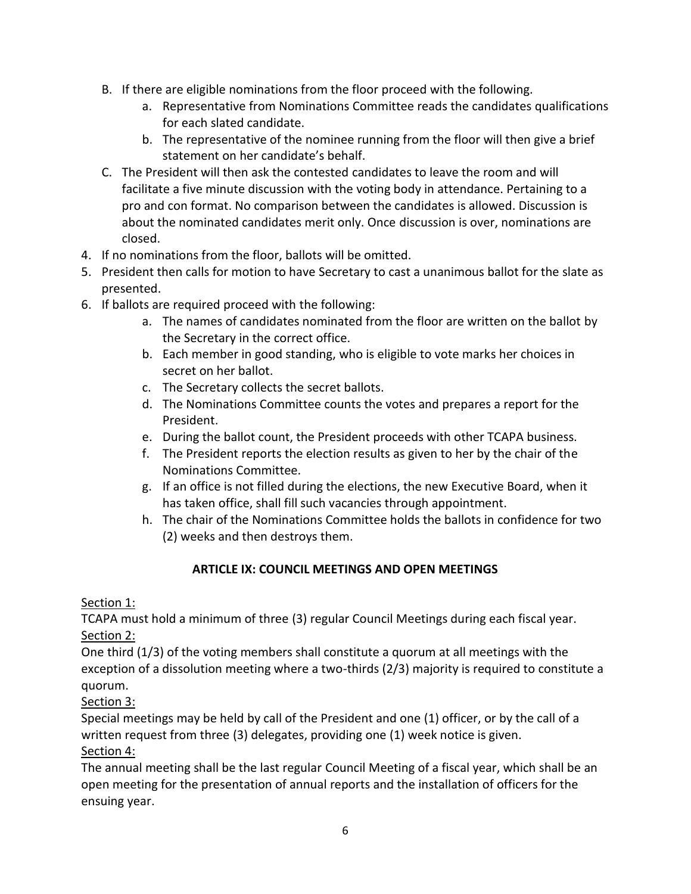- B. If there are eligible nominations from the floor proceed with the following.
	- a. Representative from Nominations Committee reads the candidates qualifications for each slated candidate.
	- b. The representative of the nominee running from the floor will then give a brief statement on her candidate's behalf.
- C. The President will then ask the contested candidates to leave the room and will facilitate a five minute discussion with the voting body in attendance. Pertaining to a pro and con format. No comparison between the candidates is allowed. Discussion is about the nominated candidates merit only. Once discussion is over, nominations are closed.
- 4. If no nominations from the floor, ballots will be omitted.
- 5. President then calls for motion to have Secretary to cast a unanimous ballot for the slate as presented.
- 6. If ballots are required proceed with the following:
	- a. The names of candidates nominated from the floor are written on the ballot by the Secretary in the correct office.
	- b. Each member in good standing, who is eligible to vote marks her choices in secret on her ballot.
	- c. The Secretary collects the secret ballots.
	- d. The Nominations Committee counts the votes and prepares a report for the President.
	- e. During the ballot count, the President proceeds with other TCAPA business.
	- f. The President reports the election results as given to her by the chair of the Nominations Committee.
	- g. If an office is not filled during the elections, the new Executive Board, when it has taken office, shall fill such vacancies through appointment.
	- h. The chair of the Nominations Committee holds the ballots in confidence for two (2) weeks and then destroys them.

# **ARTICLE IX: COUNCIL MEETINGS AND OPEN MEETINGS**

### Section 1:

TCAPA must hold a minimum of three (3) regular Council Meetings during each fiscal year. Section 2:

One third (1/3) of the voting members shall constitute a quorum at all meetings with the exception of a dissolution meeting where a two-thirds (2/3) majority is required to constitute a quorum.

# Section 3:

Special meetings may be held by call of the President and one (1) officer, or by the call of a written request from three (3) delegates, providing one (1) week notice is given.

### Section 4:

The annual meeting shall be the last regular Council Meeting of a fiscal year, which shall be an open meeting for the presentation of annual reports and the installation of officers for the ensuing year.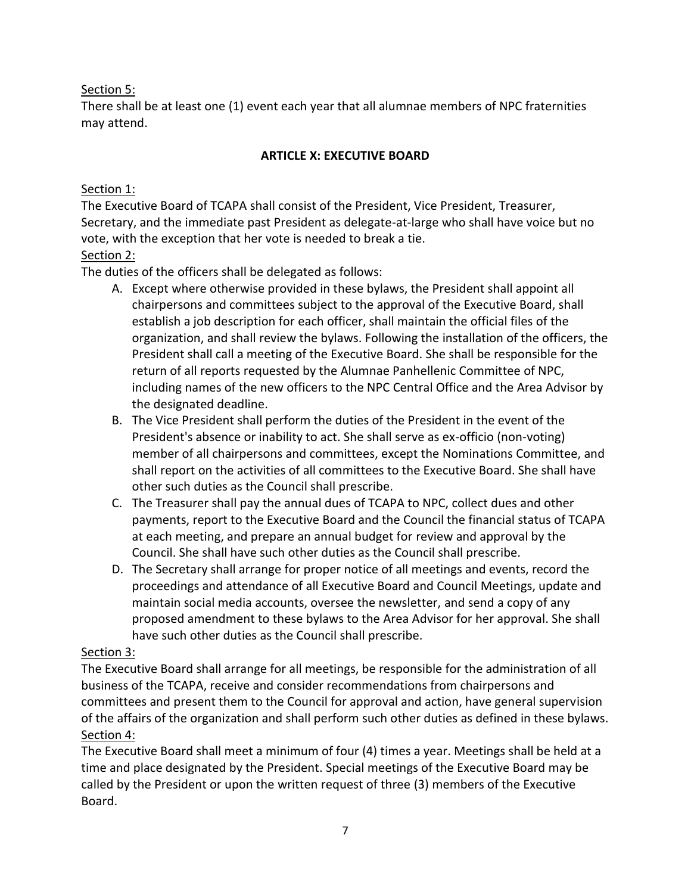### Section 5:

There shall be at least one (1) event each year that all alumnae members of NPC fraternities may attend.

### **ARTICLE X: EXECUTIVE BOARD**

### Section 1:

The Executive Board of TCAPA shall consist of the President, Vice President, Treasurer, Secretary, and the immediate past President as delegate-at-large who shall have voice but no vote, with the exception that her vote is needed to break a tie.

### Section 2:

The duties of the officers shall be delegated as follows:

- A. Except where otherwise provided in these bylaws, the President shall appoint all chairpersons and committees subject to the approval of the Executive Board, shall establish a job description for each officer, shall maintain the official files of the organization, and shall review the bylaws. Following the installation of the officers, the President shall call a meeting of the Executive Board. She shall be responsible for the return of all reports requested by the Alumnae Panhellenic Committee of NPC, including names of the new officers to the NPC Central Office and the Area Advisor by the designated deadline.
- B. The Vice President shall perform the duties of the President in the event of the President's absence or inability to act. She shall serve as ex-officio (non-voting) member of all chairpersons and committees, except the Nominations Committee, and shall report on the activities of all committees to the Executive Board. She shall have other such duties as the Council shall prescribe.
- C. The Treasurer shall pay the annual dues of TCAPA to NPC, collect dues and other payments, report to the Executive Board and the Council the financial status of TCAPA at each meeting, and prepare an annual budget for review and approval by the Council. She shall have such other duties as the Council shall prescribe.
- D. The Secretary shall arrange for proper notice of all meetings and events, record the proceedings and attendance of all Executive Board and Council Meetings, update and maintain social media accounts, oversee the newsletter, and send a copy of any proposed amendment to these bylaws to the Area Advisor for her approval. She shall have such other duties as the Council shall prescribe.

# Section 3:

The Executive Board shall arrange for all meetings, be responsible for the administration of all business of the TCAPA, receive and consider recommendations from chairpersons and committees and present them to the Council for approval and action, have general supervision of the affairs of the organization and shall perform such other duties as defined in these bylaws. Section 4:

The Executive Board shall meet a minimum of four (4) times a year. Meetings shall be held at a time and place designated by the President. Special meetings of the Executive Board may be called by the President or upon the written request of three (3) members of the Executive Board.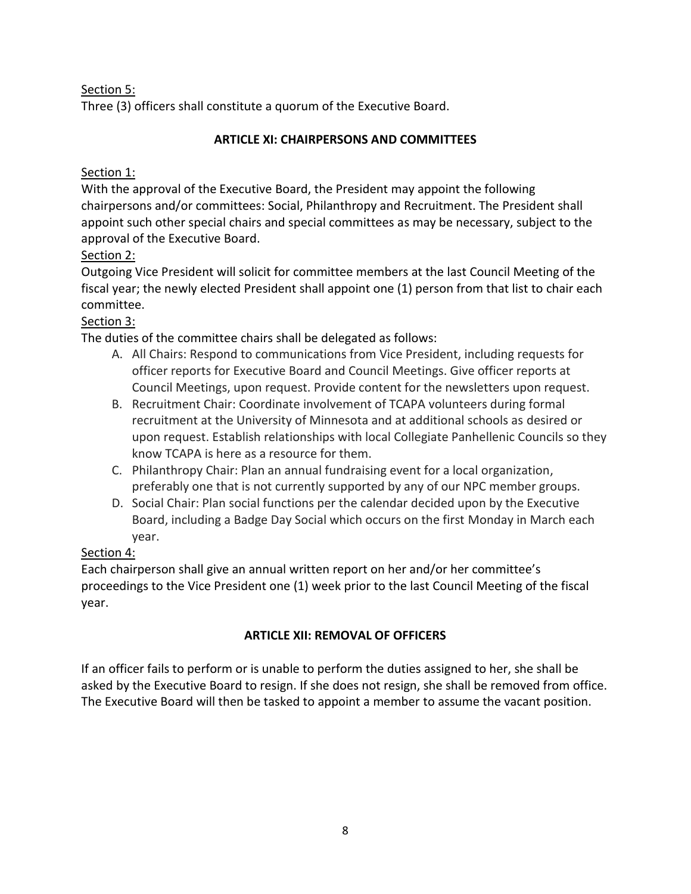Section 5:

Three (3) officers shall constitute a quorum of the Executive Board.

### **ARTICLE XI: CHAIRPERSONS AND COMMITTEES**

### Section 1:

With the approval of the Executive Board, the President may appoint the following chairpersons and/or committees: Social, Philanthropy and Recruitment. The President shall appoint such other special chairs and special committees as may be necessary, subject to the approval of the Executive Board.

# Section 2:

Outgoing Vice President will solicit for committee members at the last Council Meeting of the fiscal year; the newly elected President shall appoint one (1) person from that list to chair each committee.

# Section 3:

The duties of the committee chairs shall be delegated as follows:

- A. All Chairs: Respond to communications from Vice President, including requests for officer reports for Executive Board and Council Meetings. Give officer reports at Council Meetings, upon request. Provide content for the newsletters upon request.
- B. Recruitment Chair: Coordinate involvement of TCAPA volunteers during formal recruitment at the University of Minnesota and at additional schools as desired or upon request. Establish relationships with local Collegiate Panhellenic Councils so they know TCAPA is here as a resource for them.
- C. Philanthropy Chair: Plan an annual fundraising event for a local organization, preferably one that is not currently supported by any of our NPC member groups.
- D. Social Chair: Plan social functions per the calendar decided upon by the Executive Board, including a Badge Day Social which occurs on the first Monday in March each year.

# Section 4:

Each chairperson shall give an annual written report on her and/or her committee's proceedings to the Vice President one (1) week prior to the last Council Meeting of the fiscal year.

# **ARTICLE XII: REMOVAL OF OFFICERS**

If an officer fails to perform or is unable to perform the duties assigned to her, she shall be asked by the Executive Board to resign. If she does not resign, she shall be removed from office. The Executive Board will then be tasked to appoint a member to assume the vacant position.